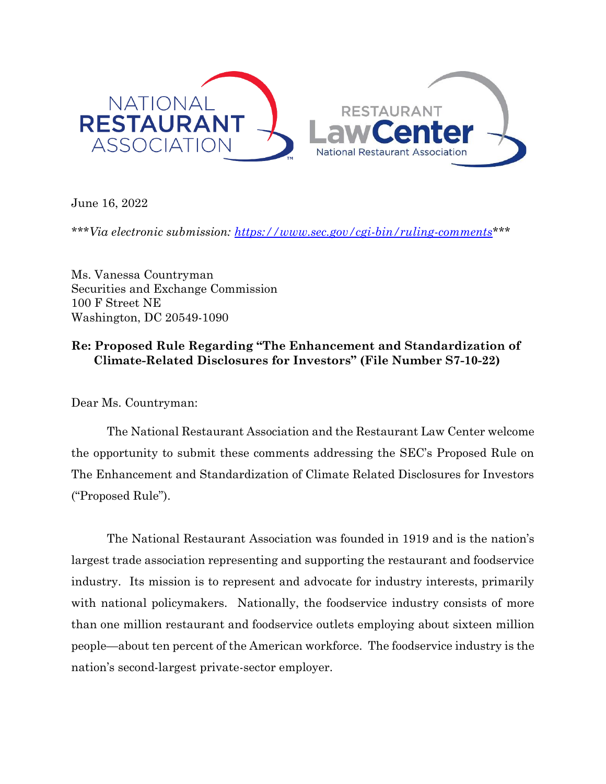

June 16, 2022

*\*\*\*Via electronic submission: [https://www.sec.gov/cgi-bin/ruling-comments\\*](https://www.sec.gov/cgi-bin/ruling-comments)\*\** 

Ms. Vanessa Countryman Securities and Exchange Commission 100 F Street NE Washington, DC 20549-1090

# **Re: Proposed Rule Regarding "The Enhancement and Standardization of Climate-Related Disclosures for Investors" (File Number S7-10-22)**

Dear Ms. Countryman:

The National Restaurant Association and the Restaurant Law Center welcome the opportunity to submit these comments addressing the SEC's Proposed Rule on The Enhancement and Standardization of Climate Related Disclosures for Investors ("Proposed Rule").

The National Restaurant Association was founded in 1919 and is the nation's largest trade association representing and supporting the restaurant and foodservice industry. Its mission is to represent and advocate for industry interests, primarily with national policymakers. Nationally, the foodservice industry consists of more than one million restaurant and foodservice outlets employing about sixteen million people—about ten percent of the American workforce. The foodservice industry is the nation's second-largest private-sector employer.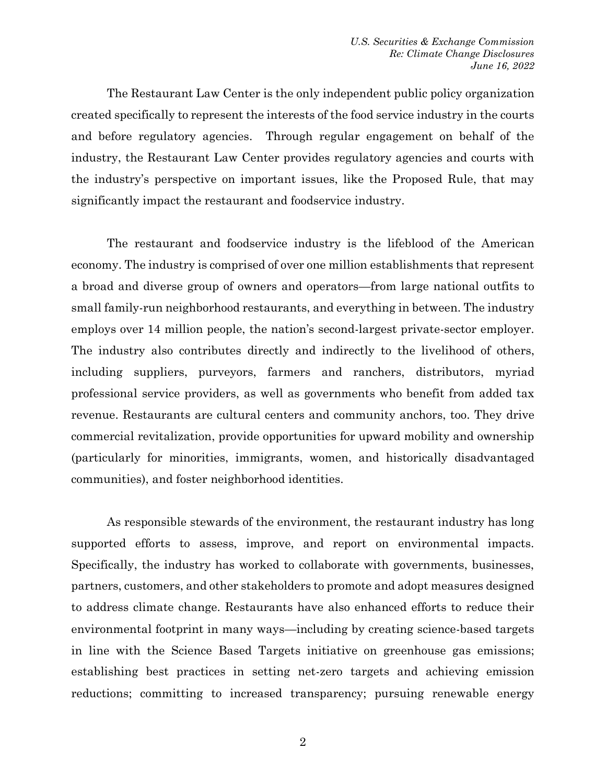The Restaurant Law Center is the only independent public policy organization created specifically to represent the interests of the food service industry in the courts and before regulatory agencies. Through regular engagement on behalf of the industry, the Restaurant Law Center provides regulatory agencies and courts with the industry's perspective on important issues, like the Proposed Rule, that may significantly impact the restaurant and foodservice industry.

The restaurant and foodservice industry is the lifeblood of the American economy. The industry is comprised of over one million establishments that represent a broad and diverse group of owners and operators—from large national outfits to small family-run neighborhood restaurants, and everything in between. The industry employs over 14 million people, the nation's second-largest private-sector employer. The industry also contributes directly and indirectly to the livelihood of others, including suppliers, purveyors, farmers and ranchers, distributors, myriad professional service providers, as well as governments who benefit from added tax revenue. Restaurants are cultural centers and community anchors, too. They drive commercial revitalization, provide opportunities for upward mobility and ownership (particularly for minorities, immigrants, women, and historically disadvantaged communities), and foster neighborhood identities.

As responsible stewards of the environment, the restaurant industry has long supported efforts to assess, improve, and report on environmental impacts. Specifically, the industry has worked to collaborate with governments, businesses, partners, customers, and other stakeholders to promote and adopt measures designed to address climate change. Restaurants have also enhanced efforts to reduce their environmental footprint in many ways—including by creating science-based targets in line with the Science Based Targets initiative on greenhouse gas emissions; establishing best practices in setting net-zero targets and achieving emission reductions; committing to increased transparency; pursuing renewable energy

2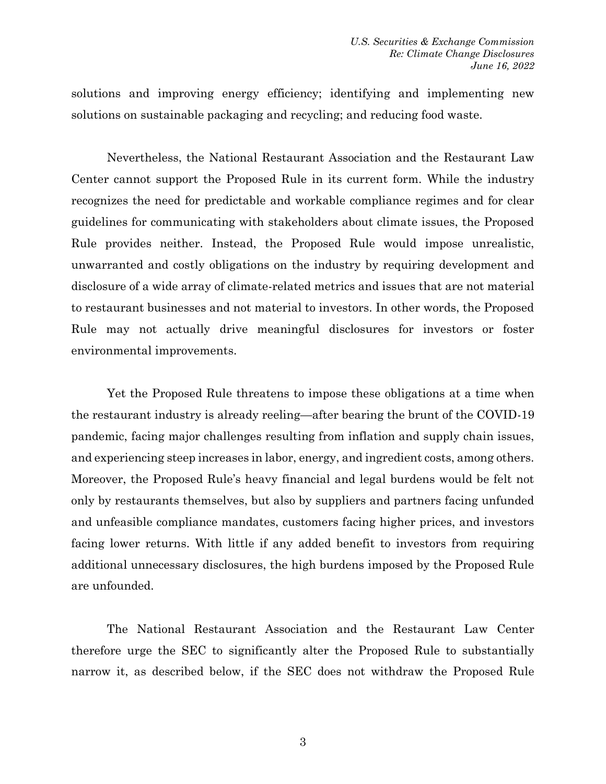solutions and improving energy efficiency; identifying and implementing new solutions on sustainable packaging and recycling; and reducing food waste.

Nevertheless, the National Restaurant Association and the Restaurant Law Center cannot support the Proposed Rule in its current form. While the industry recognizes the need for predictable and workable compliance regimes and for clear guidelines for communicating with stakeholders about climate issues, the Proposed Rule provides neither. Instead, the Proposed Rule would impose unrealistic, unwarranted and costly obligations on the industry by requiring development and disclosure of a wide array of climate-related metrics and issues that are not material to restaurant businesses and not material to investors. In other words, the Proposed Rule may not actually drive meaningful disclosures for investors or foster environmental improvements.

Yet the Proposed Rule threatens to impose these obligations at a time when the restaurant industry is already reeling—after bearing the brunt of the COVID-19 pandemic, facing major challenges resulting from inflation and supply chain issues, and experiencing steep increases in labor, energy, and ingredient costs, among others. Moreover, the Proposed Rule's heavy financial and legal burdens would be felt not only by restaurants themselves, but also by suppliers and partners facing unfunded and unfeasible compliance mandates, customers facing higher prices, and investors facing lower returns. With little if any added benefit to investors from requiring additional unnecessary disclosures, the high burdens imposed by the Proposed Rule are unfounded.

The National Restaurant Association and the Restaurant Law Center therefore urge the SEC to significantly alter the Proposed Rule to substantially narrow it, as described below, if the SEC does not withdraw the Proposed Rule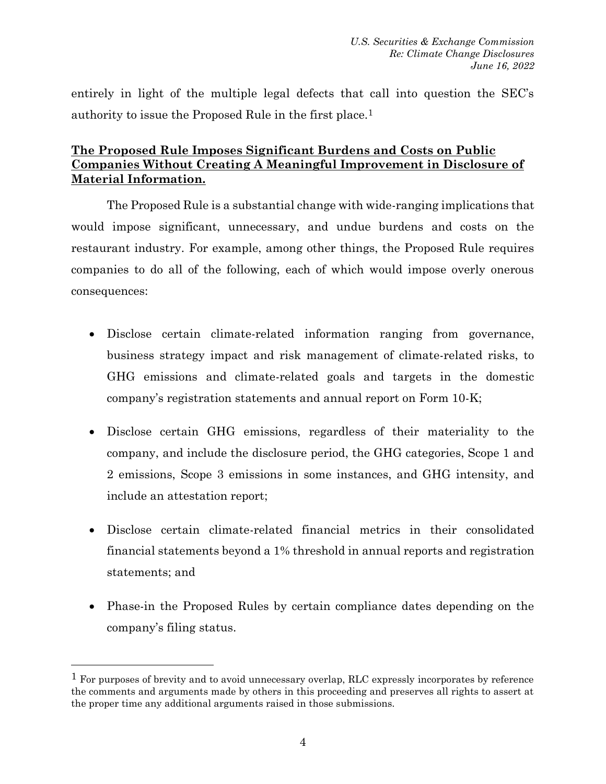entirely in light of the multiple legal defects that call into question the SEC's authority to issue the Proposed Rule in the first place.1

# **The Proposed Rule Imposes Significant Burdens and Costs on Public Companies Without Creating A Meaningful Improvement in Disclosure of Material Information.**

The Proposed Rule is a substantial change with wide-ranging implications that would impose significant, unnecessary, and undue burdens and costs on the restaurant industry. For example, among other things, the Proposed Rule requires companies to do all of the following, each of which would impose overly onerous consequences:

- Disclose certain climate-related information ranging from governance, business strategy impact and risk management of climate-related risks, to GHG emissions and climate-related goals and targets in the domestic company's registration statements and annual report on Form 10-K;
- Disclose certain GHG emissions, regardless of their materiality to the company, and include the disclosure period, the GHG categories, Scope 1 and 2 emissions, Scope 3 emissions in some instances, and GHG intensity, and include an attestation report;
- Disclose certain climate-related financial metrics in their consolidated financial statements beyond a 1% threshold in annual reports and registration statements; and
- Phase-in the Proposed Rules by certain compliance dates depending on the company's filing status.

<sup>&</sup>lt;sup>1</sup> For purposes of brevity and to avoid unnecessary overlap, RLC expressly incorporates by reference the comments and arguments made by others in this proceeding and preserves all rights to assert at the proper time any additional arguments raised in those submissions.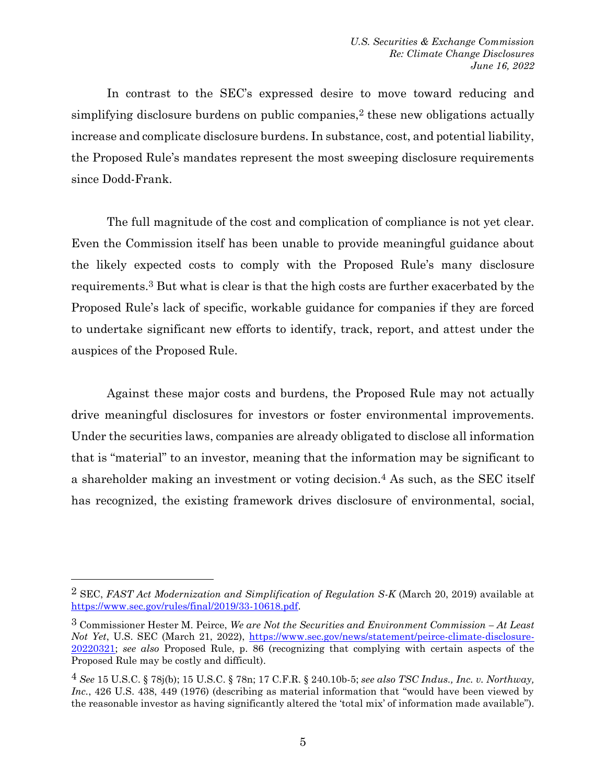In contrast to the SEC's expressed desire to move toward reducing and simplifying disclosure burdens on public companies,<sup>2</sup> these new obligations actually increase and complicate disclosure burdens. In substance, cost, and potential liability, the Proposed Rule's mandates represent the most sweeping disclosure requirements since Dodd-Frank.

The full magnitude of the cost and complication of compliance is not yet clear. Even the Commission itself has been unable to provide meaningful guidance about the likely expected costs to comply with the Proposed Rule's many disclosure requirements.3 But what is clear is that the high costs are further exacerbated by the Proposed Rule's lack of specific, workable guidance for companies if they are forced to undertake significant new efforts to identify, track, report, and attest under the auspices of the Proposed Rule.

Against these major costs and burdens, the Proposed Rule may not actually drive meaningful disclosures for investors or foster environmental improvements. Under the securities laws, companies are already obligated to disclose all information that is "material" to an investor, meaning that the information may be significant to a shareholder making an investment or voting decision.4 As such, as the SEC itself has recognized, the existing framework drives disclosure of environmental, social,

<sup>2</sup> SEC, *FAST Act Modernization and Simplification of Regulation S-K* (March 20, 2019) available at [https://www.sec.gov/rules/final/2019/33-10618.pdf.](https://www.sec.gov/rules/final/2019/33-10618.pdf)

<sup>3</sup> Commissioner Hester M. Peirce, *We are Not the Securities and Environment Commission – At Least Not Yet*, U.S. SEC (March 21, 2022), [https://www.sec.gov/news/statement/peirce-climate-disclosure-](https://www.sec.gov/news/statement/peirce-climate-disclosure-20220321)[20220321;](https://www.sec.gov/news/statement/peirce-climate-disclosure-20220321) *see also* Proposed Rule, p. 86 (recognizing that complying with certain aspects of the Proposed Rule may be costly and difficult).

<sup>4</sup> *See* 15 U.S.C. § 78j(b); 15 U.S.C. § 78n; 17 C.F.R. § 240.10b-5; *see also TSC Indus., Inc. v. Northway,*  Inc., 426 U.S. 438, 449 (1976) (describing as material information that "would have been viewed by the reasonable investor as having significantly altered the 'total mix' of information made available").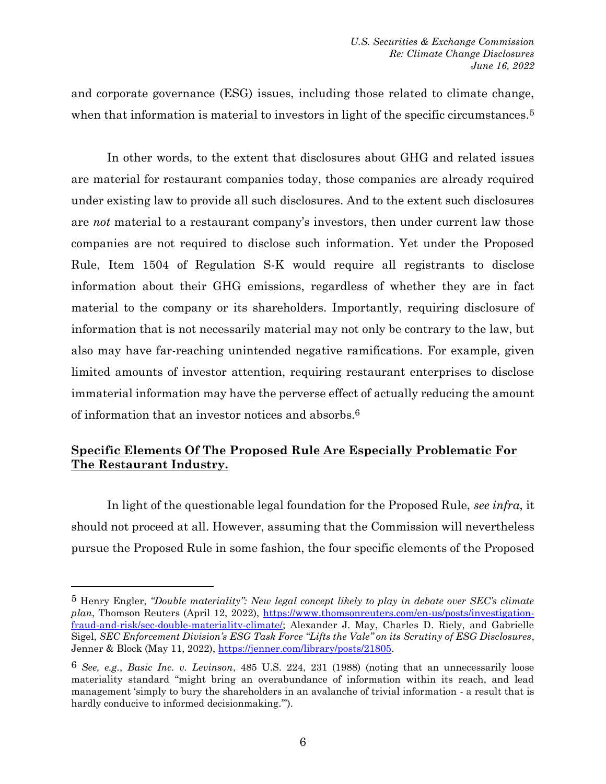and corporate governance (ESG) issues, including those related to climate change, when that information is material to investors in light of the specific circumstances.<sup>5</sup>

In other words, to the extent that disclosures about GHG and related issues are material for restaurant companies today, those companies are already required under existing law to provide all such disclosures. And to the extent such disclosures are *not* material to a restaurant company's investors, then under current law those companies are not required to disclose such information. Yet under the Proposed Rule, Item 1504 of Regulation S-K would require all registrants to disclose information about their GHG emissions, regardless of whether they are in fact material to the company or its shareholders. Importantly, requiring disclosure of information that is not necessarily material may not only be contrary to the law, but also may have far-reaching unintended negative ramifications. For example, given limited amounts of investor attention, requiring restaurant enterprises to disclose immaterial information may have the perverse effect of actually reducing the amount of information that an investor notices and absorbs.6

### **Specific Elements Of The Proposed Rule Are Especially Problematic For The Restaurant Industry.**

In light of the questionable legal foundation for the Proposed Rule, *see infra*, it should not proceed at all. However, assuming that the Commission will nevertheless pursue the Proposed Rule in some fashion, the four specific elements of the Proposed

<sup>5</sup> Henry Engler, *"Double materiality": New legal concept likely to play in debate over SEC's climate*  plan, Thomson Reuters (April 12, 2022), [https://www.thomsonreuters.com/en-us/posts/investigation](https://www.thomsonreuters.com/en-us/posts/investigation-fraud-and-risk/sec-double-materiality-climate/)[fraud-and-risk/sec-double-materiality-climate/;](https://www.thomsonreuters.com/en-us/posts/investigation-fraud-and-risk/sec-double-materiality-climate/) Alexander J. May, Charles D. Riely, and Gabrielle Sigel, *SEC Enforcement Division's ESG Task Force "Lifts the Vale" on its Scrutiny of ESG Disclosures*, Jenner & Block (May 11, 2022), [https://jenner.com/library/posts/21805.](https://jenner.com/library/posts/21805)

<sup>6</sup> *See, e.g.*, *Basic Inc. v. Levinson*, 485 U.S. 224, 231 (1988) (noting that an unnecessarily loose materiality standard "might bring an overabundance of information within its reach, and lead management 'simply to bury the shareholders in an avalanche of trivial information - a result that is hardly conducive to informed decision making."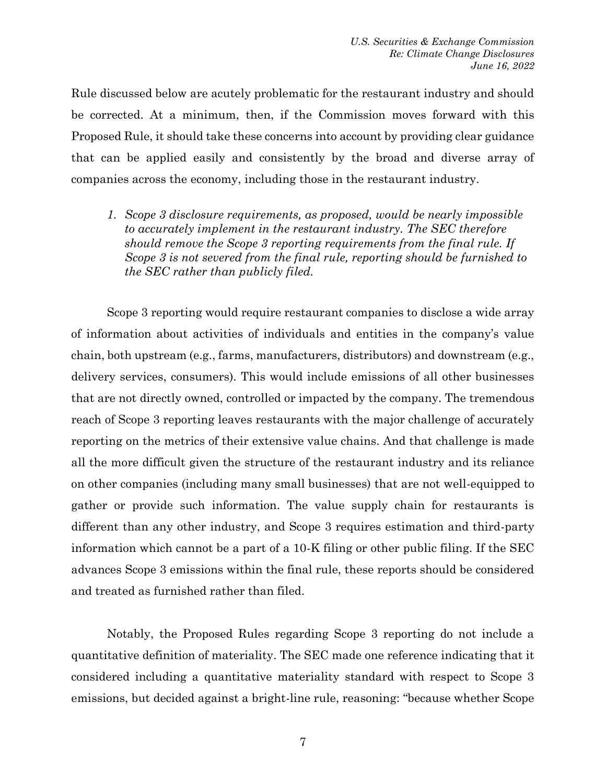Rule discussed below are acutely problematic for the restaurant industry and should be corrected. At a minimum, then, if the Commission moves forward with this Proposed Rule, it should take these concerns into account by providing clear guidance that can be applied easily and consistently by the broad and diverse array of companies across the economy, including those in the restaurant industry.

*1. Scope 3 disclosure requirements, as proposed, would be nearly impossible to accurately implement in the restaurant industry. The SEC therefore should remove the Scope 3 reporting requirements from the final rule. If Scope 3 is not severed from the final rule, reporting should be furnished to the SEC rather than publicly filed.*

Scope 3 reporting would require restaurant companies to disclose a wide array of information about activities of individuals and entities in the company's value chain, both upstream (e.g., farms, manufacturers, distributors) and downstream (e.g., delivery services, consumers). This would include emissions of all other businesses that are not directly owned, controlled or impacted by the company. The tremendous reach of Scope 3 reporting leaves restaurants with the major challenge of accurately reporting on the metrics of their extensive value chains. And that challenge is made all the more difficult given the structure of the restaurant industry and its reliance on other companies (including many small businesses) that are not well-equipped to gather or provide such information. The value supply chain for restaurants is different than any other industry, and Scope 3 requires estimation and third-party information which cannot be a part of a 10-K filing or other public filing. If the SEC advances Scope 3 emissions within the final rule, these reports should be considered and treated as furnished rather than filed.

Notably, the Proposed Rules regarding Scope 3 reporting do not include a quantitative definition of materiality. The SEC made one reference indicating that it considered including a quantitative materiality standard with respect to Scope 3 emissions, but decided against a bright-line rule, reasoning: "because whether Scope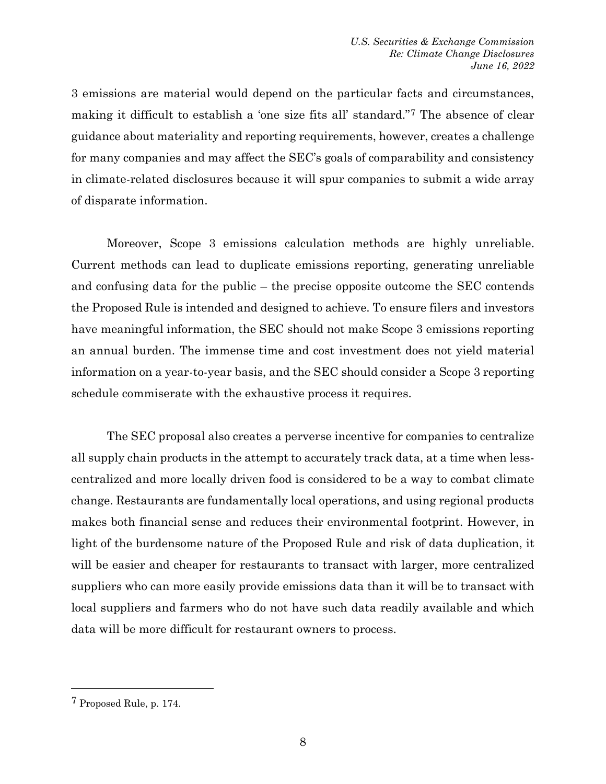3 emissions are material would depend on the particular facts and circumstances, making it difficult to establish a 'one size fits all' standard."7 The absence of clear guidance about materiality and reporting requirements, however, creates a challenge for many companies and may affect the SEC's goals of comparability and consistency in climate-related disclosures because it will spur companies to submit a wide array of disparate information.

Moreover, Scope 3 emissions calculation methods are highly unreliable. Current methods can lead to duplicate emissions reporting, generating unreliable and confusing data for the public – the precise opposite outcome the SEC contends the Proposed Rule is intended and designed to achieve. To ensure filers and investors have meaningful information, the SEC should not make Scope 3 emissions reporting an annual burden. The immense time and cost investment does not yield material information on a year-to-year basis, and the SEC should consider a Scope 3 reporting schedule commiserate with the exhaustive process it requires.

The SEC proposal also creates a perverse incentive for companies to centralize all supply chain products in the attempt to accurately track data, at a time when lesscentralized and more locally driven food is considered to be a way to combat climate change. Restaurants are fundamentally local operations, and using regional products makes both financial sense and reduces their environmental footprint. However, in light of the burdensome nature of the Proposed Rule and risk of data duplication, it will be easier and cheaper for restaurants to transact with larger, more centralized suppliers who can more easily provide emissions data than it will be to transact with local suppliers and farmers who do not have such data readily available and which data will be more difficult for restaurant owners to process.

<sup>7</sup> Proposed Rule, p. 174.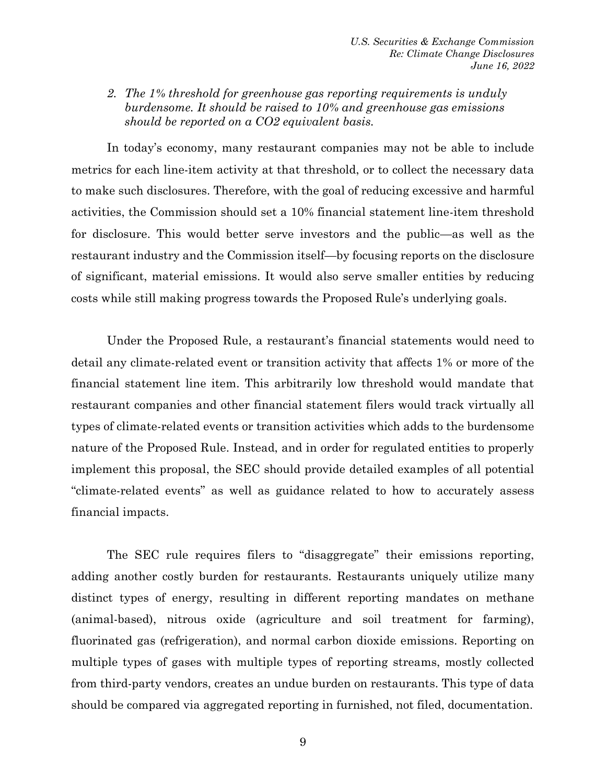*2. The 1% threshold for greenhouse gas reporting requirements is unduly burdensome. It should be raised to 10% and greenhouse gas emissions should be reported on a CO2 equivalent basis.*

In today's economy, many restaurant companies may not be able to include metrics for each line-item activity at that threshold, or to collect the necessary data to make such disclosures. Therefore, with the goal of reducing excessive and harmful activities, the Commission should set a 10% financial statement line-item threshold for disclosure. This would better serve investors and the public—as well as the restaurant industry and the Commission itself—by focusing reports on the disclosure of significant, material emissions. It would also serve smaller entities by reducing costs while still making progress towards the Proposed Rule's underlying goals.

Under the Proposed Rule, a restaurant's financial statements would need to detail any climate-related event or transition activity that affects 1% or more of the financial statement line item. This arbitrarily low threshold would mandate that restaurant companies and other financial statement filers would track virtually all types of climate-related events or transition activities which adds to the burdensome nature of the Proposed Rule. Instead, and in order for regulated entities to properly implement this proposal, the SEC should provide detailed examples of all potential "climate-related events" as well as guidance related to how to accurately assess financial impacts.

The SEC rule requires filers to "disaggregate" their emissions reporting, adding another costly burden for restaurants. Restaurants uniquely utilize many distinct types of energy, resulting in different reporting mandates on methane (animal-based), nitrous oxide (agriculture and soil treatment for farming), fluorinated gas (refrigeration), and normal carbon dioxide emissions. Reporting on multiple types of gases with multiple types of reporting streams, mostly collected from third-party vendors, creates an undue burden on restaurants. This type of data should be compared via aggregated reporting in furnished, not filed, documentation.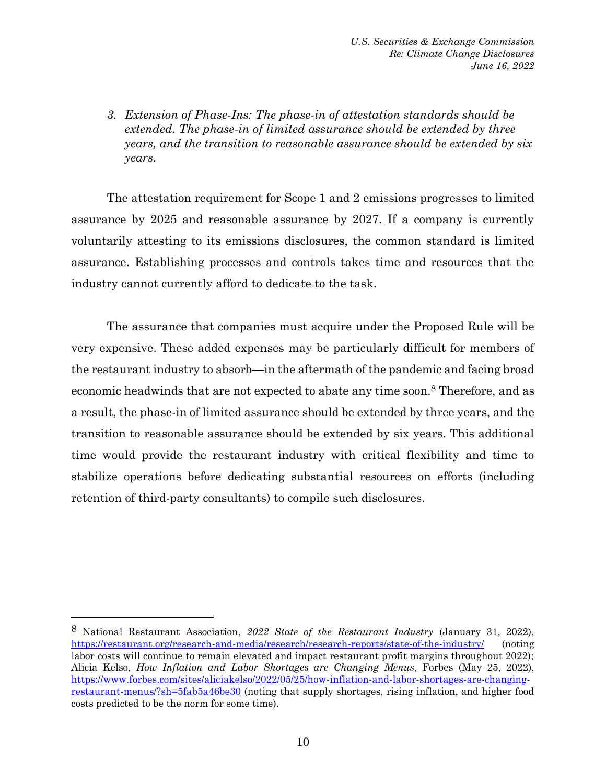*U.S. Securities & Exchange Commission Re: Climate Change Disclosures June 16, 2022*

*3. Extension of Phase-Ins: The phase-in of attestation standards should be extended. The phase-in of limited assurance should be extended by three years, and the transition to reasonable assurance should be extended by six years.*

The attestation requirement for Scope 1 and 2 emissions progresses to limited assurance by 2025 and reasonable assurance by 2027. If a company is currently voluntarily attesting to its emissions disclosures, the common standard is limited assurance. Establishing processes and controls takes time and resources that the industry cannot currently afford to dedicate to the task.

The assurance that companies must acquire under the Proposed Rule will be very expensive. These added expenses may be particularly difficult for members of the restaurant industry to absorb—in the aftermath of the pandemic and facing broad economic headwinds that are not expected to abate any time soon.8 Therefore, and as a result, the phase-in of limited assurance should be extended by three years, and the transition to reasonable assurance should be extended by six years. This additional time would provide the restaurant industry with critical flexibility and time to stabilize operations before dedicating substantial resources on efforts (including retention of third-party consultants) to compile such disclosures.

<sup>8</sup> National Restaurant Association, *2022 State of the Restaurant Industry* (January 31, 2022), <https://restaurant.org/research-and-media/research/research-reports/state-of-the-industry/> (noting labor costs will continue to remain elevated and impact restaurant profit margins throughout 2022); Alicia Kelso, *How Inflation and Labor Shortages are Changing Menus*, Forbes (May 25, 2022), [https://www.forbes.com/sites/aliciakelso/2022/05/25/how-inflation-and-labor-shortages-are-changing](https://www.forbes.com/sites/aliciakelso/2022/05/25/how-inflation-and-labor-shortages-are-changing-restaurant-menus/?sh=5fab5a46be30)[restaurant-menus/?sh=5fab5a46be30](https://www.forbes.com/sites/aliciakelso/2022/05/25/how-inflation-and-labor-shortages-are-changing-restaurant-menus/?sh=5fab5a46be30) (noting that supply shortages, rising inflation, and higher food costs predicted to be the norm for some time).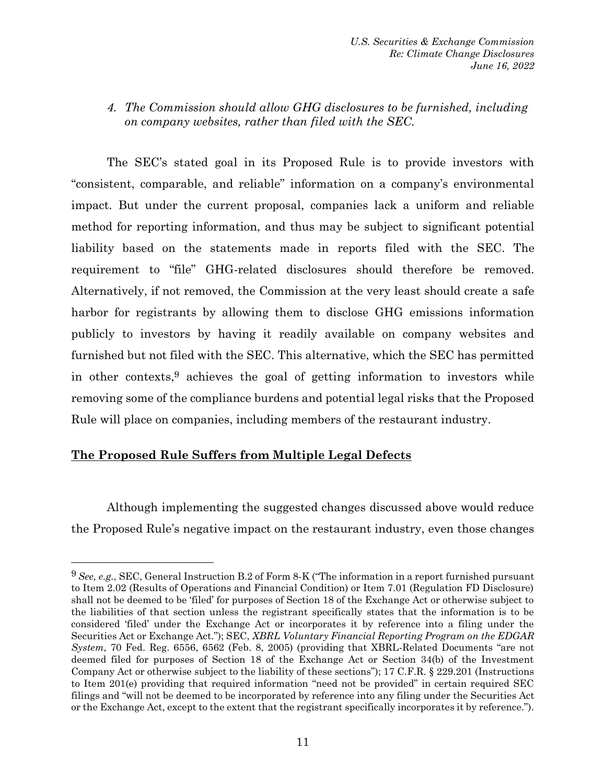*U.S. Securities & Exchange Commission Re: Climate Change Disclosures June 16, 2022*

*4. The Commission should allow GHG disclosures to be furnished, including on company websites, rather than filed with the SEC.*

The SEC's stated goal in its Proposed Rule is to provide investors with "consistent, comparable, and reliable" information on a company's environmental impact. But under the current proposal, companies lack a uniform and reliable method for reporting information, and thus may be subject to significant potential liability based on the statements made in reports filed with the SEC. The requirement to "file" GHG-related disclosures should therefore be removed. Alternatively, if not removed, the Commission at the very least should create a safe harbor for registrants by allowing them to disclose GHG emissions information publicly to investors by having it readily available on company websites and furnished but not filed with the SEC. This alternative, which the SEC has permitted in other contexts, $9$  achieves the goal of getting information to investors while removing some of the compliance burdens and potential legal risks that the Proposed Rule will place on companies, including members of the restaurant industry.

### **The Proposed Rule Suffers from Multiple Legal Defects**

Although implementing the suggested changes discussed above would reduce the Proposed Rule's negative impact on the restaurant industry, even those changes

<sup>9</sup> *See, e.g.*, SEC, General Instruction B.2 of Form 8-K ("The information in a report furnished pursuant to Item 2.02 (Results of Operations and Financial Condition) or Item 7.01 (Regulation FD Disclosure) shall not be deemed to be 'filed' for purposes of Section 18 of the Exchange Act or otherwise subject to the liabilities of that section unless the registrant specifically states that the information is to be considered 'filed' under the Exchange Act or incorporates it by reference into a filing under the Securities Act or Exchange Act."); SEC, *XBRL Voluntary Financial Reporting Program on the EDGAR System*, 70 Fed. Reg. 6556, 6562 (Feb. 8, 2005) (providing that XBRL-Related Documents "are not deemed filed for purposes of Section 18 of the Exchange Act or Section 34(b) of the Investment Company Act or otherwise subject to the liability of these sections"); 17 C.F.R. § 229.201 (Instructions to Item 201(e) providing that required information "need not be provided" in certain required SEC filings and "will not be deemed to be incorporated by reference into any filing under the Securities Act or the Exchange Act, except to the extent that the registrant specifically incorporates it by reference.").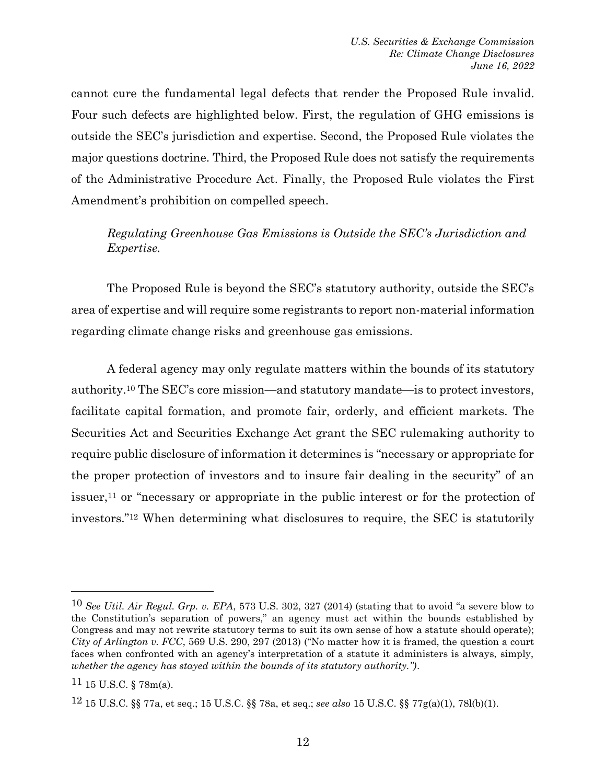cannot cure the fundamental legal defects that render the Proposed Rule invalid. Four such defects are highlighted below. First, the regulation of GHG emissions is outside the SEC's jurisdiction and expertise. Second, the Proposed Rule violates the major questions doctrine. Third, the Proposed Rule does not satisfy the requirements of the Administrative Procedure Act. Finally, the Proposed Rule violates the First Amendment's prohibition on compelled speech.

*Regulating Greenhouse Gas Emissions is Outside the SEC's Jurisdiction and Expertise.*

The Proposed Rule is beyond the SEC's statutory authority, outside the SEC's area of expertise and will require some registrants to report non-material information regarding climate change risks and greenhouse gas emissions.

A federal agency may only regulate matters within the bounds of its statutory authority.<sup>10</sup> The SEC's core mission—and statutory mandate—is to protect investors, facilitate capital formation, and promote fair, orderly, and efficient markets. The Securities Act and Securities Exchange Act grant the SEC rulemaking authority to require public disclosure of information it determines is "necessary or appropriate for the proper protection of investors and to insure fair dealing in the security" of an issuer,<sup>11</sup> or "necessary or appropriate in the public interest or for the protection of investors."<sup>12</sup> When determining what disclosures to require, the SEC is statutorily

<sup>10</sup> *See Util. Air Regul. Grp. v. EPA*, 573 U.S. 302, 327 (2014) (stating that to avoid "a severe blow to the Constitution's separation of powers," an agency must act within the bounds established by Congress and may not rewrite statutory terms to suit its own sense of how a statute should operate); *City of Arlington v. FCC*, 569 U.S. 290, 297 (2013) ("No matter how it is framed, the question a court faces when confronted with an agency's interpretation of a statute it administers is always, simply, *whether the agency has stayed within the bounds of its statutory authority.")*.

 $11$  15 U.S.C. § 78m(a).

<sup>12</sup> 15 U.S.C. §§ 77a, et seq.; 15 U.S.C. §§ 78a, et seq.; *see also* 15 U.S.C. §§ 77g(a)(1), 78l(b)(1).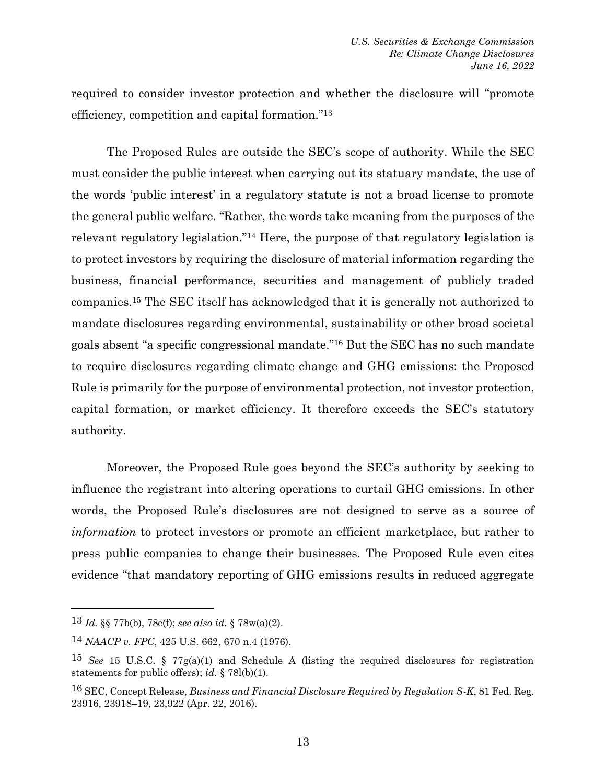required to consider investor protection and whether the disclosure will "promote efficiency, competition and capital formation."<sup>13</sup>

The Proposed Rules are outside the SEC's scope of authority. While the SEC must consider the public interest when carrying out its statuary mandate, the use of the words 'public interest' in a regulatory statute is not a broad license to promote the general public welfare. "Rather, the words take meaning from the purposes of the relevant regulatory legislation."<sup>14</sup> Here, the purpose of that regulatory legislation is to protect investors by requiring the disclosure of material information regarding the business, financial performance, securities and management of publicly traded companies.<sup>15</sup> The SEC itself has acknowledged that it is generally not authorized to mandate disclosures regarding environmental, sustainability or other broad societal goals absent "a specific congressional mandate."<sup>16</sup> But the SEC has no such mandate to require disclosures regarding climate change and GHG emissions: the Proposed Rule is primarily for the purpose of environmental protection, not investor protection, capital formation, or market efficiency. It therefore exceeds the SEC's statutory authority.

Moreover, the Proposed Rule goes beyond the SEC's authority by seeking to influence the registrant into altering operations to curtail GHG emissions. In other words, the Proposed Rule's disclosures are not designed to serve as a source of *information* to protect investors or promote an efficient marketplace, but rather to press public companies to change their businesses. The Proposed Rule even cites evidence "that mandatory reporting of GHG emissions results in reduced aggregate

<sup>13</sup> *Id.* §§ 77b(b), 78c(f); *see also id.* § 78w(a)(2).

<sup>14</sup> *NAACP v. FPC*, 425 U.S. 662, 670 n.4 (1976).

<sup>15</sup> *See* 15 U.S.C. § 77g(a)(1) and Schedule A (listing the required disclosures for registration statements for public offers); *id.* § 78l(b)(1).

<sup>16</sup> SEC, Concept Release, *Business and Financial Disclosure Required by Regulation S-K*, 81 Fed. Reg. 23916, 23918–19, 23,922 (Apr. 22, 2016).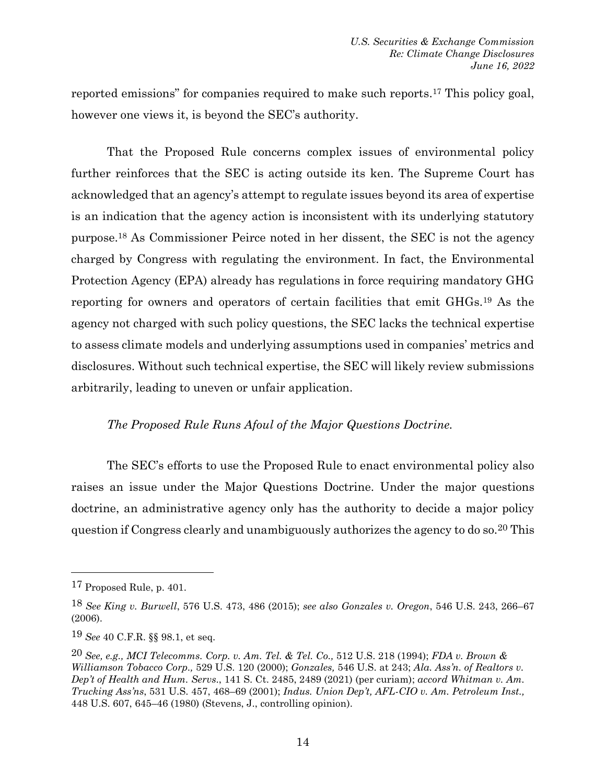reported emissions" for companies required to make such reports.<sup>17</sup> This policy goal, however one views it, is beyond the SEC's authority.

That the Proposed Rule concerns complex issues of environmental policy further reinforces that the SEC is acting outside its ken. The Supreme Court has acknowledged that an agency's attempt to regulate issues beyond its area of expertise is an indication that the agency action is inconsistent with its underlying statutory purpose.<sup>18</sup> As Commissioner Peirce noted in her dissent, the SEC is not the agency charged by Congress with regulating the environment. In fact, the Environmental Protection Agency (EPA) already has regulations in force requiring mandatory GHG reporting for owners and operators of certain facilities that emit GHGs.<sup>19</sup> As the agency not charged with such policy questions, the SEC lacks the technical expertise to assess climate models and underlying assumptions used in companies' metrics and disclosures. Without such technical expertise, the SEC will likely review submissions arbitrarily, leading to uneven or unfair application.

### *The Proposed Rule Runs Afoul of the Major Questions Doctrine.*

The SEC's efforts to use the Proposed Rule to enact environmental policy also raises an issue under the Major Questions Doctrine. Under the major questions doctrine, an administrative agency only has the authority to decide a major policy question if Congress clearly and unambiguously authorizes the agency to do so.20 This

<sup>17</sup> Proposed Rule, p. 401.

<sup>18</sup> *See King v. Burwell*, 576 U.S. 473, 486 (2015); *see also Gonzales v. Oregon*, 546 U.S. 243, 266–67 (2006).

<sup>19</sup> *See* 40 C.F.R. §§ 98.1, et seq.

<sup>20</sup> *See, e.g., MCI Telecomms. Corp. v. Am. Tel. & Tel. Co.,* 512 U.S. 218 (1994); *FDA v. Brown & Williamson Tobacco Corp.,* 529 U.S. 120 (2000); *Gonzales,* 546 U.S. at 243; *Ala. Ass'n. of Realtors v. Dep't of Health and Hum. Servs*., 141 S. Ct. 2485, 2489 (2021) (per curiam); *accord Whitman v. Am. Trucking Ass'ns*, 531 U.S. 457, 468–69 (2001); *Indus. Union Dep't, AFL-CIO v. Am. Petroleum Inst.,*  448 U.S. 607, 645–46 (1980) (Stevens, J., controlling opinion).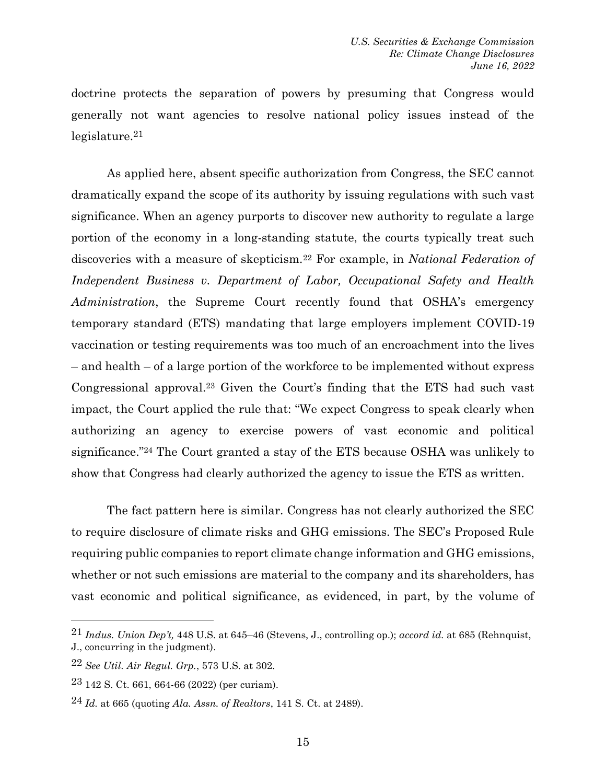doctrine protects the separation of powers by presuming that Congress would generally not want agencies to resolve national policy issues instead of the legislature.21

As applied here, absent specific authorization from Congress, the SEC cannot dramatically expand the scope of its authority by issuing regulations with such vast significance. When an agency purports to discover new authority to regulate a large portion of the economy in a long-standing statute, the courts typically treat such discoveries with a measure of skepticism.<sup>22</sup> For example, in *National Federation of Independent Business v. Department of Labor, Occupational Safety and Health Administration*, the Supreme Court recently found that OSHA's emergency temporary standard (ETS) mandating that large employers implement COVID-19 vaccination or testing requirements was too much of an encroachment into the lives – and health – of a large portion of the workforce to be implemented without express Congressional approval.<sup>23</sup> Given the Court's finding that the ETS had such vast impact, the Court applied the rule that: "We expect Congress to speak clearly when authorizing an agency to exercise powers of vast economic and political significance."<sup>24</sup> The Court granted a stay of the ETS because OSHA was unlikely to show that Congress had clearly authorized the agency to issue the ETS as written.

The fact pattern here is similar. Congress has not clearly authorized the SEC to require disclosure of climate risks and GHG emissions. The SEC's Proposed Rule requiring public companies to report climate change information and GHG emissions, whether or not such emissions are material to the company and its shareholders, has vast economic and political significance, as evidenced, in part, by the volume of

<sup>21</sup> *Indus. Union Dep't,* 448 U.S. at 645–46 (Stevens, J., controlling op.); *accord id.* at 685 (Rehnquist, J., concurring in the judgment).

<sup>22</sup> *See Util. Air Regul. Grp.*, 573 U.S. at 302.

<sup>23</sup> 142 S. Ct. 661, 664-66 (2022) (per curiam).

<sup>24</sup> *Id.* at 665 (quoting *Ala. Assn. of Realtors*, 141 S. Ct. at 2489).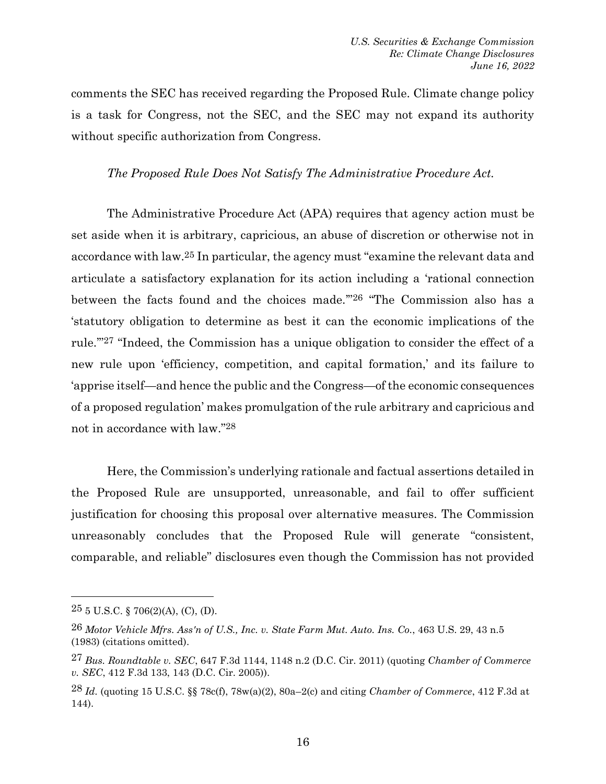comments the SEC has received regarding the Proposed Rule. Climate change policy is a task for Congress, not the SEC, and the SEC may not expand its authority without specific authorization from Congress.

### *The Proposed Rule Does Not Satisfy The Administrative Procedure Act.*

The Administrative Procedure Act (APA) requires that agency action must be set aside when it is arbitrary, capricious, an abuse of discretion or otherwise not in accordance with law.25 In particular, the agency must "examine the relevant data and articulate a satisfactory explanation for its action including a 'rational connection between the facts found and the choices made.'" 26 "The Commission also has a 'statutory obligation to determine as best it can the economic implications of the rule.'"27 "Indeed, the Commission has a unique obligation to consider the effect of a new rule upon 'efficiency, competition, and capital formation,' and its failure to 'apprise itself—and hence the public and the Congress—of the economic consequences of a proposed regulation' makes promulgation of the rule arbitrary and capricious and not in accordance with law."28

Here, the Commission's underlying rationale and factual assertions detailed in the Proposed Rule are unsupported, unreasonable, and fail to offer sufficient justification for choosing this proposal over alternative measures. The Commission unreasonably concludes that the Proposed Rule will generate "consistent, comparable, and reliable" disclosures even though the Commission has not provided

 $25$  5 U.S.C. § 706(2)(A), (C), (D).

<sup>26</sup> *Motor Vehicle Mfrs. Ass'n of U.S., Inc. v. State Farm Mut. Auto. Ins. Co.*, 463 U.S. 29, 43 n.5 (1983) (citations omitted).

<sup>27</sup> *Bus. Roundtable v. SEC*, 647 F.3d 1144, 1148 n.2 (D.C. Cir. 2011) (quoting *Chamber of Commerce v. SEC*, 412 F.3d 133, 143 (D.C. Cir. 2005)).

<sup>28</sup> *Id.* (quoting 15 U.S.C. §§ 78c(f), 78w(a)(2), 80a–2(c) and citing *Chamber of Commerce*, 412 F.3d at 144).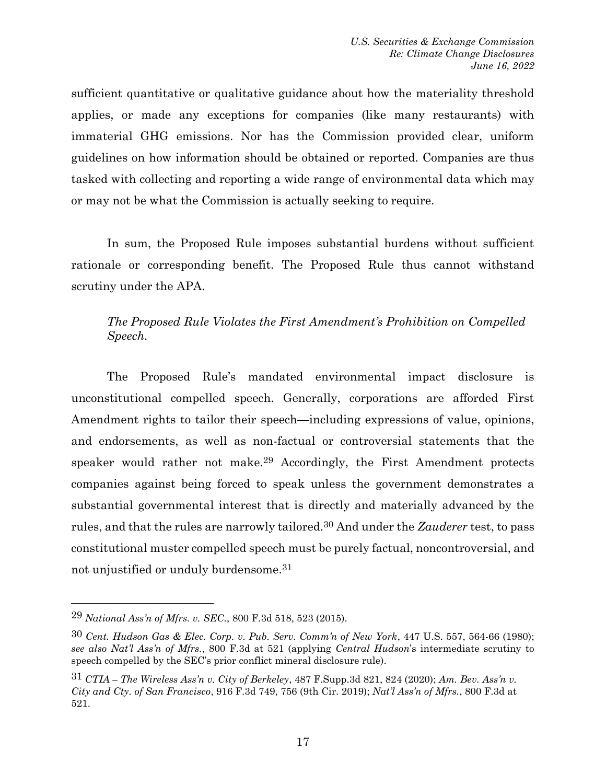sufficient quantitative or qualitative guidance about how the materiality threshold applies, or made any exceptions for companies (like many restaurants) with immaterial GHG emissions. Nor has the Commission provided clear, uniform guidelines on how information should be obtained or reported. Companies are thus tasked with collecting and reporting a wide range of environmental data which may or may not be what the Commission is actually seeking to require.

In sum, the Proposed Rule imposes substantial burdens without sufficient rationale or corresponding benefit. The Proposed Rule thus cannot withstand scrutiny under the APA.

## *The Proposed Rule Violates the First Amendment's Prohibition on Compelled Speech.*

The Proposed Rule's mandated environmental impact disclosure is unconstitutional compelled speech. Generally, corporations are afforded First Amendment rights to tailor their speech—including expressions of value, opinions, and endorsements, as well as non-factual or controversial statements that the speaker would rather not make.29 Accordingly, the First Amendment protects companies against being forced to speak unless the government demonstrates a substantial governmental interest that is directly and materially advanced by the rules, and that the rules are narrowly tailored.30 And under the *Zauderer* test, to pass constitutional muster compelled speech must be purely factual, noncontroversial, and not unjustified or unduly burdensome.31

<sup>29</sup> *National Ass'n of Mfrs. v. SEC.*, 800 F.3d 518, 523 (2015).

<sup>30</sup> *Cent. Hudson Gas & Elec. Corp. v. Pub. Serv. Comm'n of New York*, 447 U.S. 557, 564-66 (1980); *see also Nat'l Ass'n of Mfrs.*, 800 F.3d at 521 (applying *Central Hudson*'s intermediate scrutiny to speech compelled by the SEC's prior conflict mineral disclosure rule).

<sup>31</sup> *CTIA – The Wireless Ass'n v. City of Berkeley*, 487 F.Supp.3d 821, 824 (2020); *Am. Bev. Ass'n v. City and Cty. of San Francisco*, 916 F.3d 749, 756 (9th Cir. 2019); *Nat'l Ass'n of Mfrs.*, 800 F.3d at 521.